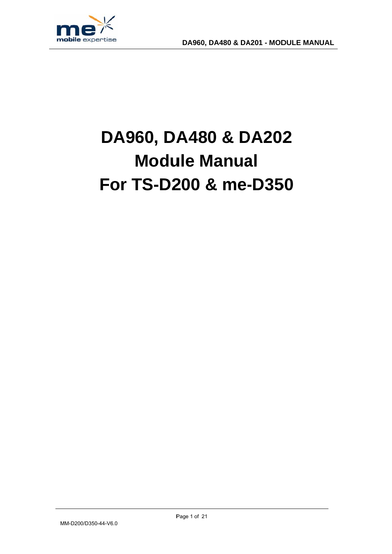

# DA960, DA480 & DA202 **Module Manual** For TS-D200 & me-D350

MM-D200/D350-44-V6.0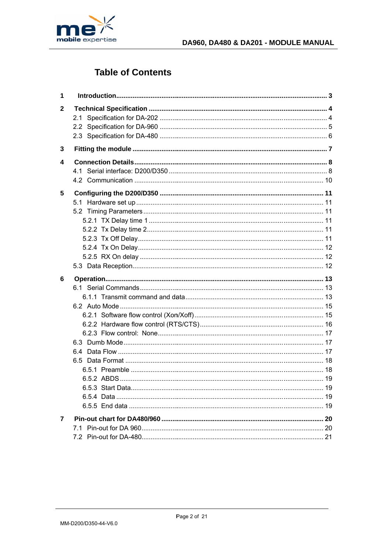

# **Table of Contents**

| 1 |  |
|---|--|
| 2 |  |
| 3 |  |
| 4 |  |
| 5 |  |
|   |  |
| 6 |  |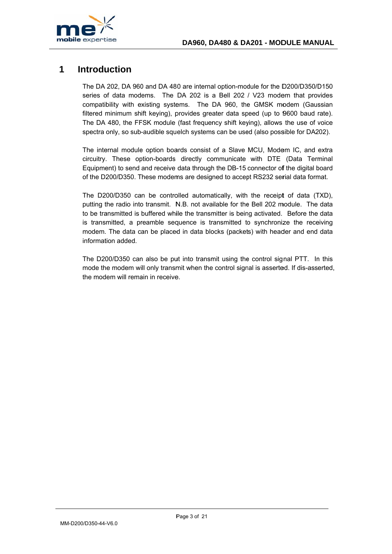

### $\overline{\mathbf{1}}$ Introduction

The DA 202, DA 960 and DA 480 are internal option-module for the D200/D350/D150 series of data modems. The DA 202 is a Bell 202 / V23 modem that provides compatibility with existing systems. The DA 960, the GMSK modem (Gaussian filtered minimum shift keying), provides greater data speed (up to 9600 baud rate). The DA 480, the FFSK module (fast frequency shift keying), allows the use of voice spectra only, so sub-audible squelch systems can be used (also possible for DA202).

The internal module option boards consist of a Slave MCU, Modem IC, and extra circuitry. These option-boards directly communicate with DTE (Data Terminal Equipment) to send and receive data through the DB-15 connector of the digital board of the D200/D350. These modems are designed to accept RS232 serial data format.

The D200/D350 can be controlled automatically, with the receipt of data (TXD), putting the radio into transmit. N.B. not available for the Bell 202 module. The data to be transmitted is buffered while the transmitter is being activated. Before the data is transmitted, a preamble sequence is transmitted to synchronize the receiving modem. The data can be placed in data blocks (packets) with header and end data information added.

The D200/D350 can also be put into transmit using the control signal PTT. In this mode the modem will only transmit when the control signal is asserted. If dis-asserted, the modem will remain in receive.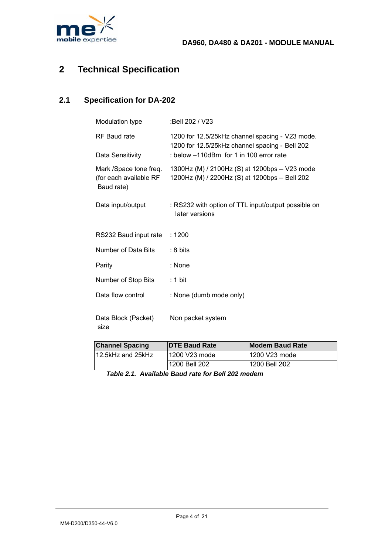

### **Technical Specification**  $\overline{2}$

### **Specification for DA-202**  $2.1$

| Modulation type                                                | :Bell 202 / V23                                                                                   |
|----------------------------------------------------------------|---------------------------------------------------------------------------------------------------|
| RF Baud rate                                                   | 1200 for 12.5/25kHz channel spacing - V23 mode.<br>1200 for 12.5/25kHz channel spacing - Bell 202 |
| Data Sensitivity                                               | : below -110dBm for 1 in 100 error rate                                                           |
| Mark /Space tone freq.<br>(for each available RF<br>Baud rate) | 1300Hz (M) / 2100Hz (S) at 1200bps - V23 mode<br>1200Hz (M) / 2200Hz (S) at 1200bps - Bell 202    |
| Data input/output                                              | : RS232 with option of TTL input/output possible on<br>later versions                             |
| RS232 Baud input rate                                          | :1200                                                                                             |
| Number of Data Bits                                            | :8 bits                                                                                           |
| Parity                                                         | : None                                                                                            |
| Number of Stop Bits                                            | : 1 bit                                                                                           |
| Data flow control                                              | : None (dumb mode only)                                                                           |
| Data Block (Packet)<br>size                                    | Non packet system                                                                                 |
|                                                                |                                                                                                   |

| <b>Channel Spacing</b> | <b>DTE Baud Rate</b> | <b>Modem Baud Rate</b> |  |
|------------------------|----------------------|------------------------|--|
| 12.5kHz and 25kHz      | 1200 V23 mode        | l 1200 V23 mode        |  |
|                        | 1200 Bell 202        | 1200 Bell 202          |  |

Table 2.1. Available Baud rate for Bell 202 modem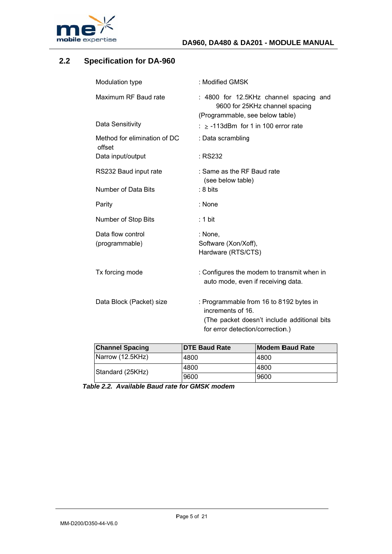

### **Specification for DA-960**  $2.2$

| Modulation type                        | : Modified GMSK                                                                                                                                  |
|----------------------------------------|--------------------------------------------------------------------------------------------------------------------------------------------------|
| Maximum RF Baud rate                   | : 4800 for 12.5KHz channel spacing and<br>9600 for 25KHz channel spacing<br>(Programmable, see below table)                                      |
| Data Sensitivity                       | : $\ge$ -113dBm for 1 in 100 error rate                                                                                                          |
| Method for elimination of DC<br>offset | : Data scrambling                                                                                                                                |
| Data input/output                      | : RS232                                                                                                                                          |
| RS232 Baud input rate                  | : Same as the RF Baud rate<br>(see below table)                                                                                                  |
| Number of Data Bits                    | $:8 \text{ bits}$                                                                                                                                |
| Parity                                 | $:$ None                                                                                                                                         |
| Number of Stop Bits                    | : 1 bit                                                                                                                                          |
| Data flow control<br>(programmable)    | : None,<br>Software (Xon/Xoff),<br>Hardware (RTS/CTS)                                                                                            |
| Tx forcing mode                        | : Configures the modem to transmit when in<br>auto mode, even if receiving data.                                                                 |
| Data Block (Packet) size               | : Programmable from 16 to 8192 bytes in<br>increments of 16.<br>(The packet doesn't include additional bits)<br>for error detection/correction.) |

| <b>Channel Spacing</b> | <b>IDTE Baud Rate</b> | <b>Modem Baud Rate</b> |  |
|------------------------|-----------------------|------------------------|--|
| Narrow (12.5KHz)       | 4800                  | 4800                   |  |
| Standard (25KHz)       | 4800                  | 4800                   |  |
|                        | 9600                  | 9600                   |  |

Table 2.2. Available Baud rate for GMSK modem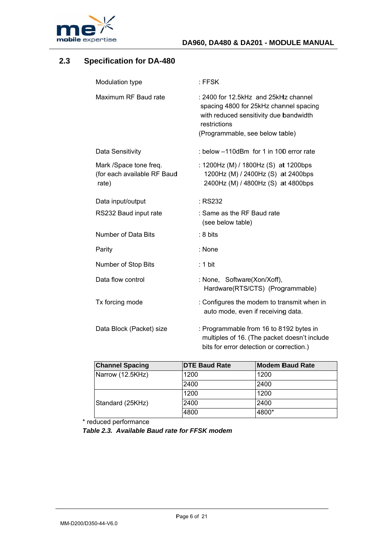

### **Specification for DA-480**  $2.3$

| Modulation type                                                | $:$ FFSK                                                                                                                                                                    |
|----------------------------------------------------------------|-----------------------------------------------------------------------------------------------------------------------------------------------------------------------------|
| Maximum RF Baud rate                                           | : 2400 for 12.5kHz and 25kHz channel<br>spacing 4800 for 25kHz channel spacing<br>with reduced sensitivity due bandwidth<br>restrictions<br>(Programmable, see below table) |
| Data Sensitivity                                               | : below -110dBm for 1 in 100 error rate                                                                                                                                     |
| Mark /Space tone freq.<br>(for each available RF Baud<br>rate) | : 1200Hz (M) / 1800Hz (S) at 1200bps<br>1200Hz (M) / 2400Hz (S) at 2400bps<br>2400Hz (M) / 4800Hz (S) at 4800bps                                                            |
| Data input/output                                              | : RS232                                                                                                                                                                     |
| RS232 Baud input rate                                          | : Same as the RF Baud rate<br>(see below table)                                                                                                                             |
| Number of Data Bits                                            | $: 8 \text{ bits}$                                                                                                                                                          |
| Parity                                                         | : None                                                                                                                                                                      |
| Number of Stop Bits                                            | : 1 bit                                                                                                                                                                     |
| Data flow control                                              | : None, Software(Xon/Xoff),<br>Hardware(RTS/CTS) (Programmable)                                                                                                             |
| Tx forcing mode                                                | : Configures the modem to transmit when in<br>auto mode, even if receiving data.                                                                                            |
| Data Block (Packet) size                                       | : Programmable from 16 to 8192 bytes in<br>multiples of 16. (The packet doesn't include<br>bits for error detection or correction.)                                         |

| <b>Channel Spacing</b> | <b>IDTE Baud Rate</b> | <b>Modem Baud Rate</b> |
|------------------------|-----------------------|------------------------|
| Narrow (12.5KHz)       | 1200                  | 1200                   |
|                        | 2400                  | 2400                   |
|                        | 1200                  | 1200                   |
| Standard (25KHz)       | 2400                  | 2400                   |
|                        | 4800                  | 4800*                  |

\* reduced performance

Table 2.3. Available Baud rate for FFSK modem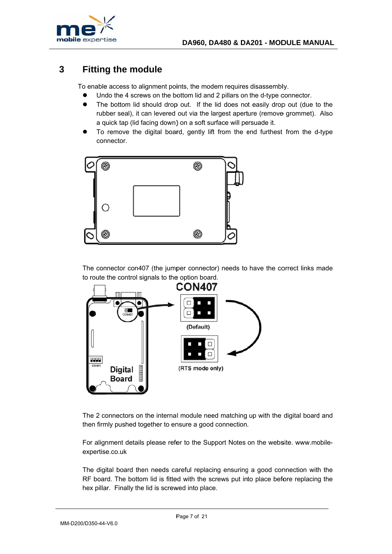

### **Fitting the module** 3

To enable access to alignment points, the modem requires disassembly.

- Undo the 4 screws on the bottom lid and 2 pillars on the d-type connector.  $\bullet$
- The bottom lid should drop out. If the lid does not easily drop out (due to the  $\bullet$ rubber seal), it can levered out via the largest aperture (remove grommet). Also a quick tap (lid facing down) on a soft surface will persuade it.
- To remove the digital board, gently lift from the end furthest from the d-type connector.



The connector con407 (the jumper connector) needs to have the correct links made to route the control signals to the option board.



The 2 connectors on the internal module need matching up with the digital board and then firmly pushed together to ensure a good connection.

For alignment details please refer to the Support Notes on the website. www.mobileexpertise.co.uk

The digital board then needs careful replacing ensuring a good connection with the RF board. The bottom lid is fitted with the screws put into place before replacing the hex pillar. Finally the lid is screwed into place.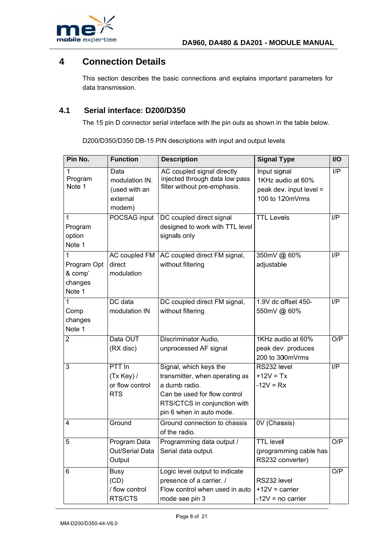

### $\overline{\mathbf{4}}$ **Connection Details**

This section describes the basic connections and explains important parameters for data transmission.

#### $4.1$ Serial interface: D200/D350

The 15 pin D connector serial interface with the pin outs as shown in the table below.

D200/D350/D350 DB-15 PIN descriptions with input and output levels

| Pin No.                                          | <b>Function</b>                                               | <b>Description</b>                                                                                                                                                    | <b>Signal Type</b>                                                                | I/O             |
|--------------------------------------------------|---------------------------------------------------------------|-----------------------------------------------------------------------------------------------------------------------------------------------------------------------|-----------------------------------------------------------------------------------|-----------------|
| 1<br>Program<br>Note 1                           | Data<br>modulation IN.<br>(used with an<br>external<br>modem) | AC coupled signal directly<br>injected through data low pass<br>filter without pre-emphasis.                                                                          | Input signal<br>1KHz audio at 60%<br>peak dev. input level $=$<br>100 to 120mVrms | $\overline{IP}$ |
| 1<br>Program<br>option<br>Note 1                 | POCSAG input                                                  | DC coupled direct signal<br>designed to work with TTL level<br>signals only                                                                                           | <b>TTL Levels</b>                                                                 | I/P             |
| 1<br>Program Opt<br>& comp'<br>changes<br>Note 1 | AC coupled FM<br>direct<br>modulation                         | AC coupled direct FM signal,<br>without filtering                                                                                                                     | 350mV @ 60%<br>adjustable                                                         | $\overline{IP}$ |
| 1<br>Comp<br>changes<br>Note 1                   | DC data<br>modulation IN                                      | DC coupled direct FM signal,<br>without filtering                                                                                                                     | 1.9V dc offset 450-<br>550mV @ 60%                                                | I/P             |
| 2                                                | Data OUT<br>(RX disc)                                         | Discriminator Audio,<br>unprocessed AF signal                                                                                                                         | 1KHz audio at 60%<br>peak dev. produces<br>200 to 300mVrms                        | O/P             |
| 3                                                | PTT In<br>(Tx Key)<br>or flow control<br><b>RTS</b>           | Signal, which keys the<br>transmitter, when operating as<br>a dumb radio.<br>Can be used for flow control<br>RTS/CTCS in conjunction with<br>pin 6 when in auto mode. | RS232 level<br>$+12V = Tx$<br>$-12V = Rx$                                         | I/P             |
| 4                                                | Ground                                                        | Ground connection to chassis<br>of the radio.                                                                                                                         | 0V (Chassis)                                                                      |                 |
| 5                                                | Program Data<br>Out/Serial Data<br>Output                     | Programming data output /<br>Serial data output.                                                                                                                      | <b>TTL</b> level<br>(programming cable has<br>RS232 converter)                    | O/P             |
| 6                                                | Busy<br>(CD)<br>/ flow control<br>RTS/CTS                     | Logic level output to indicate<br>presence of a carrier. /<br>Flow control when used in auto<br>mode see pin 3                                                        | RS232 level<br>$+12V = carrier$<br>$-12V = no carrier$                            | O/P             |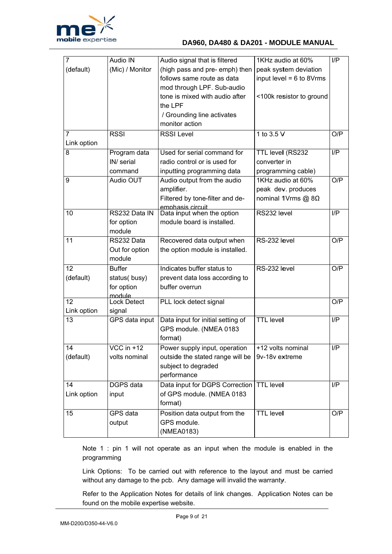

| 7                 | <b>Audio IN</b>    | Audio signal that is filtered     | 1KHz audio at 60%          | I/P |
|-------------------|--------------------|-----------------------------------|----------------------------|-----|
| (default)         | (Mic) / Monitor    | (high pass and pre- emph) then    | peak system deviation      |     |
|                   |                    | follows same route as data        | input level = $6$ to 8Vrms |     |
|                   |                    | mod through LPF. Sub-audio        |                            |     |
|                   |                    | tone is mixed with audio after    | <100k resistor to ground   |     |
|                   |                    | the LPF                           |                            |     |
|                   |                    | / Grounding line activates        |                            |     |
|                   |                    | monitor action                    |                            |     |
| 7                 | <b>RSSI</b>        | <b>RSSI Level</b>                 | 1 to 3.5 V                 | O/P |
| Link option       |                    |                                   |                            |     |
| 8                 | Program data       | Used for serial command for       | TTL level (RS232           | I/P |
|                   | IN/ serial         | radio control or is used for      | converter in               |     |
|                   | command            | inputting programming data        | programming cable)         |     |
| 9                 | Audio OUT          | Audio output from the audio       | 1KHz audio at 60%          | O/P |
|                   |                    | amplifier.                        | peak dev. produces         |     |
|                   |                    | Filtered by tone-filter and de-   | nominal 1Vrms @ 8Ω         |     |
|                   |                    | emphasis circuit                  |                            |     |
| 10                | RS232 Data IN      | Data input when the option        | RS232 level                | I/P |
|                   | for option         | module board is installed.        |                            |     |
|                   | module             |                                   |                            |     |
| 11                | RS232 Data         | Recovered data output when        | RS-232 level               | O/P |
|                   | Out for option     | the option module is installed.   |                            |     |
|                   | module             |                                   |                            |     |
| 12                | <b>Buffer</b>      | Indicates buffer status to        | RS-232 level               | O/P |
| (default)         | status(busy)       | prevent data loss according to    |                            |     |
|                   | for option         | buffer overrun                    |                            |     |
| 12                | module             |                                   |                            |     |
|                   | <b>Lock Detect</b> | PLL lock detect signal            |                            | O/P |
| Link option<br>13 | signal             | Data input for initial setting of | <b>TTL level</b>           | I/P |
|                   | GPS data input     |                                   |                            |     |
|                   |                    | GPS module. (NMEA 0183            |                            |     |
|                   |                    | format)                           |                            |     |
| 14                | VCC in +12         | Power supply input, operation     | +12 volts nominal          | I/P |
| (default)         | volts nominal      | outside the stated range will be  | 9v-18v extreme             |     |
|                   |                    | subject to degraded               |                            |     |
|                   |                    | performance                       |                            |     |
| 14                | <b>DGPS</b> data   | Data input for DGPS Correction    | <b>TTL level</b>           | I/P |
| Link option       | input              | of GPS module. (NMEA 0183         |                            |     |
|                   |                    | format)                           |                            |     |
| 15                | GPS data           | Position data output from the     | <b>TTL level</b>           | O/P |
|                   | output             | GPS module.                       |                            |     |
|                   |                    | (NMEA0183)                        |                            |     |

Note 1 : pin 1 will not operate as an input when the module is enabled in the programming

Link Options: To be carried out with reference to the layout and must be carried without any damage to the pcb. Any damage will invalid the warranty.

Refer to the Application Notes for details of link changes. Application Notes can be found on the mobile expertise website.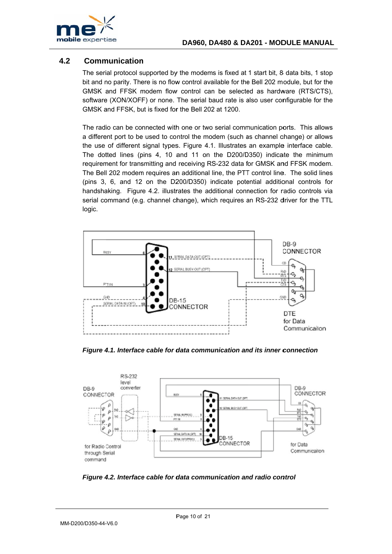

#### $4.2$ **Communication**

The serial protocol supported by the modems is fixed at 1 start bit, 8 data bits, 1 stop bit and no parity. There is no flow control available for the Bell 202 module, but for the GMSK and FFSK modem flow control can be selected as hardware (RTS/CTS). software (XON/XOFF) or none. The serial baud rate is also user configurable for the GMSK and FFSK, but is fixed for the Bell 202 at 1200.

The radio can be connected with one or two serial communication ports. This allows a different port to be used to control the modem (such as channel change) or allows the use of different signal types. Figure 4.1. Illustrates an example interface cable. The dotted lines (pins 4, 10 and 11 on the D200/D350) indicate the minimum requirement for transmitting and receiving RS-232 data for GMSK and FFSK modem. The Bell 202 modem requires an additional line, the PTT control line. The solid lines (pins 3, 6, and 12 on the D200/D350) indicate potential additional controls for handshaking. Figure 4.2. illustrates the additional connection for radio controls via serial command (e.g. channel change), which requires an RS-232 driver for the TTL logic.



Figure 4.1. Interface cable for data communication and its inner connection



Figure 4.2. Interface cable for data communication and radio control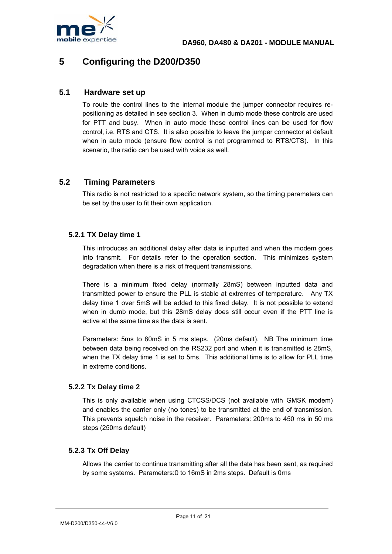

### 5 **Configuring the D200/D350**

#### $5.1$ Hardware set up

To route the control lines to the internal module the jumper connector requires repositioning as detailed in see section 3. When in dumb mode these controls are used for PTT and busy. When in auto mode these control lines can be used for flow control, i.e. RTS and CTS. It is also possible to leave the jumper connector at default when in auto mode (ensure flow control is not programmed to RTS/CTS). In this scenario, the radio can be used with voice as well.

#### $5.2$ **Timing Parameters**

This radio is not restricted to a specific network system, so the timing parameters can be set by the user to fit their own application.

## 5.2.1 TX Delay time 1

This introduces an additional delay after data is inputted and when the modem goes into transmit. For details refer to the operation section. This minimizes system degradation when there is a risk of frequent transmissions.

There is a minimum fixed delay (normally 28mS) between inputted data and transmitted power to ensure the PLL is stable at extremes of temperature. Any TX delay time 1 over 5mS will be added to this fixed delay. It is not possible to extend when in dumb mode, but this 28mS delay does still occur even if the PTT line is active at the same time as the data is sent.

Parameters: 5ms to 80mS in 5 ms steps. (20ms default). NB The minimum time between data being received on the RS232 port and when it is transmitted is 28mS, when the TX delay time 1 is set to 5ms. This additional time is to allow for PLL time in extreme conditions

# 5.2.2 Tx Delay time 2

This is only available when using CTCSS/DCS (not available with GMSK modem) and enables the carrier only (no tones) to be transmitted at the end of transmission. This prevents squelch noise in the receiver. Parameters: 200ms to 450 ms in 50 ms steps (250ms default)

# 5.2.3 Tx Off Delay

Allows the carrier to continue transmitting after all the data has been sent, as required by some systems. Parameters: 0 to 16mS in 2ms steps. Default is 0ms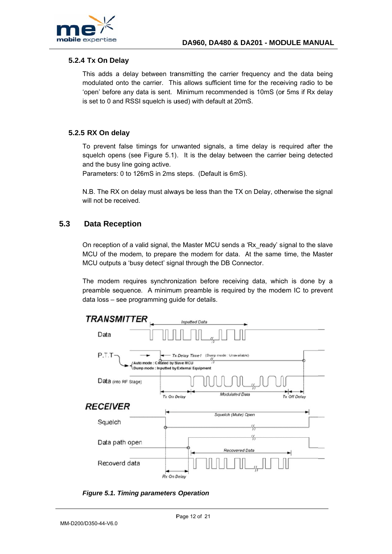

# 5.2.4 Tx On Delay

This adds a delay between transmitting the carrier frequency and the data being modulated onto the carrier. This allows sufficient time for the receiving radio to be 'open' before any data is sent. Minimum recommended is 10mS (or 5ms if Rx delay is set to 0 and RSSI squelch is used) with default at 20mS.

### 5.2.5 RX On delay

To prevent false timings for unwanted signals, a time delay is required after the squelch opens (see Figure 5.1). It is the delay between the carrier being detected and the busy line going active.

Parameters: 0 to 126mS in 2ms steps. (Default is 6mS).

N.B. The RX on delay must always be less than the TX on Delay, otherwise the signal will not be received.

#### $5.3$ **Data Reception**

On reception of a valid signal, the Master MCU sends a 'Rx ready' signal to the slave MCU of the modem, to prepare the modem for data. At the same time, the Master MCU outputs a 'busy detect' signal through the DB Connector.

The modem requires synchronization before receiving data, which is done by a preamble sequence. A minimum preamble is required by the modem IC to prevent data loss - see programming guide for details.



**Figure 5.1. Timing parameters Operation**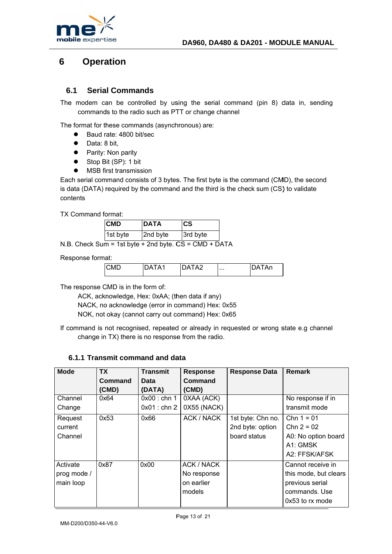

### 6 **Operation**

#### $6.1$ **Serial Commands**

The modem can be controlled by using the serial command (pin 8) data in, sending commands to the radio such as PTT or change channel

The format for these commands (asynchronous) are:

- Baud rate: 4800 bit/sec  $\bullet$
- $\bullet$ Data: 8 bit.
- Parity: Non parity
- Stop Bit (SP): 1 bit
- MSB first transmission

Each serial command consists of 3 bytes. The first byte is the command (CMD), the second is data (DATA) required by the command and the third is the check sum (CS) to validate contents

TX Command format:

| <b>CMD</b> | <b>DATA</b> | $\mathsf{cs}$ |
|------------|-------------|---------------|
| 1st byte   | 2nd byte    | 3rd byte      |
|            |             |               |

N.B. Check Sum = 1st byte + 2nd byte.  $CS = CMD + DATA$ 

Response format:

|  | <b>CMD</b> | "A2<br>. A 1<br>٦Δ |  | An |
|--|------------|--------------------|--|----|
|--|------------|--------------------|--|----|

The response CMD is in the form of:

ACK, acknowledge, Hex: 0xAA; (then data if any) NACK, no acknowledge (error in command) Hex: 0x55 NOK, not okay (cannot carry out command) Hex: 0x65

If command is not recognised, repeated or already in requested or wrong state e.g channel change in TX) there is no response from the radio.

# 6.1.1 Transmit command and data

| <b>Mode</b> | <b>TX</b> | <b>Transmit</b> | <b>Response</b> | <b>Response Data</b> | <b>Remark</b>         |
|-------------|-----------|-----------------|-----------------|----------------------|-----------------------|
|             | Command   | Data            | Command         |                      |                       |
|             | (CMD)     | (DATA)          | (CMD)           |                      |                       |
| Channel     | 0x64      | $0x00:$ chn 1   | 0XAA (ACK)      |                      | No response if in     |
| Change      |           | $0x01$ : chn 2  | 0X55 (NACK)     |                      | transmit mode         |
| Request     | 0x53      | 0x66            | ACK / NACK      | 1st byte: Chn no.    | $Chn 1 = 01$          |
| current     |           |                 |                 | 2nd byte: option     | $Chn 2 = 02$          |
| Channel     |           |                 |                 | board status         | A0: No option board   |
|             |           |                 |                 |                      | A1: GMSK              |
|             |           |                 |                 |                      | A2: FFSK/AFSK         |
| Activate    | 0x87      | 0x00            | ACK / NACK      |                      | Cannot receive in     |
| prog mode / |           |                 | No response     |                      | this mode, but clears |
| main loop   |           |                 | on earlier      |                      | previous serial       |
|             |           |                 | models          |                      | commands. Use         |
|             |           |                 |                 |                      | 0x53 to rx mode       |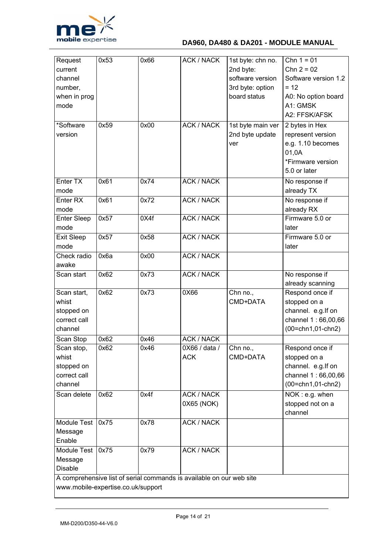

# DA960, DA480 & DA201 - MODULE MANUAL

| Request                                                                                                    | 0x53 | 0x66 | ACK / NACK        | 1st byte: chn no. | $\overline{Chn 1} = 01$ |
|------------------------------------------------------------------------------------------------------------|------|------|-------------------|-------------------|-------------------------|
| current                                                                                                    |      |      |                   | 2nd byte:         | $Chn 2 = 02$            |
| channel                                                                                                    |      |      |                   | software version  | Software version 1.2    |
| number,                                                                                                    |      |      |                   | 3rd byte: option  | $= 12$                  |
| when in prog                                                                                               |      |      |                   | board status      | A0: No option board     |
| mode                                                                                                       |      |      |                   |                   | A1: GMSK                |
|                                                                                                            |      |      |                   |                   |                         |
|                                                                                                            |      |      |                   |                   | A2: FFSK/AFSK           |
| *Software                                                                                                  | 0x59 | 0x00 | <b>ACK / NACK</b> | 1st byte main ver | 2 bytes in Hex          |
| version                                                                                                    |      |      |                   | 2nd byte update   | represent version       |
|                                                                                                            |      |      |                   | ver               | e.g. 1.10 becomes       |
|                                                                                                            |      |      |                   |                   | 01,0A                   |
|                                                                                                            |      |      |                   |                   | *Firmware version       |
|                                                                                                            |      |      |                   |                   | 5.0 or later            |
| Enter TX                                                                                                   | 0x61 | 0x74 | <b>ACK / NACK</b> |                   | No response if          |
| mode                                                                                                       |      |      |                   |                   | already TX              |
|                                                                                                            |      |      |                   |                   |                         |
| Enter <sub>RX</sub>                                                                                        | 0x61 | 0x72 | <b>ACK / NACK</b> |                   | No response if          |
| mode                                                                                                       |      |      |                   |                   | already RX              |
| <b>Enter Sleep</b>                                                                                         | 0x57 | 0X4f | <b>ACK / NACK</b> |                   | Firmware 5.0 or         |
| mode                                                                                                       |      |      |                   |                   | later                   |
| Exit Sleep                                                                                                 | 0x57 | 0x58 | <b>ACK / NACK</b> |                   | Firmware 5.0 or         |
| mode                                                                                                       |      |      |                   |                   | later                   |
| Check radio                                                                                                | 0x6a | 0x00 | <b>ACK / NACK</b> |                   |                         |
| awake                                                                                                      |      |      |                   |                   |                         |
| Scan start                                                                                                 | 0x62 | 0x73 | <b>ACK / NACK</b> |                   | No response if          |
|                                                                                                            |      |      |                   |                   | already scanning        |
| Scan start,                                                                                                | 0x62 | 0x73 | 0X66              | Chn no.,          | Respond once if         |
| whist                                                                                                      |      |      |                   | CMD+DATA          | stopped on a            |
| stopped on                                                                                                 |      |      |                   |                   | channel. e.g. If on     |
| correct call                                                                                               |      |      |                   |                   | channel 1:66,00,66      |
| channel                                                                                                    |      |      |                   |                   | (00=chn1,01-chn2)       |
|                                                                                                            | 0x62 | 0x46 | <b>ACK / NACK</b> |                   |                         |
| Scan Stop                                                                                                  |      |      |                   |                   |                         |
| Scan stop,                                                                                                 | 0x62 | 0x46 | 0X66 / data /     | Chn no.,          | Respond once if         |
| whist                                                                                                      |      |      | <b>ACK</b>        | CMD+DATA          | stopped on a            |
| stopped on                                                                                                 |      |      |                   |                   | channel. e.g. If on     |
| correct call                                                                                               |      |      |                   |                   | channel 1:66,00,66      |
| channel                                                                                                    |      |      |                   |                   | $(00=chn1, 01-chn2)$    |
| Scan delete                                                                                                | 0x62 | 0x4f | <b>ACK / NACK</b> |                   | NOK: e.g. when          |
|                                                                                                            |      |      | 0X65 (NOK)        |                   | stopped not on a        |
|                                                                                                            |      |      |                   |                   | channel                 |
| Module Test                                                                                                | 0x75 | 0x78 | <b>ACK / NACK</b> |                   |                         |
| Message                                                                                                    |      |      |                   |                   |                         |
| Enable                                                                                                     |      |      |                   |                   |                         |
| Module Test                                                                                                | 0x75 | 0x79 | <b>ACK / NACK</b> |                   |                         |
|                                                                                                            |      |      |                   |                   |                         |
| Message                                                                                                    |      |      |                   |                   |                         |
| Disable                                                                                                    |      |      |                   |                   |                         |
| A comprehensive list of serial commands is available on our web site<br>www.mobile-expertise.co.uk/support |      |      |                   |                   |                         |
|                                                                                                            |      |      |                   |                   |                         |
|                                                                                                            |      |      |                   |                   |                         |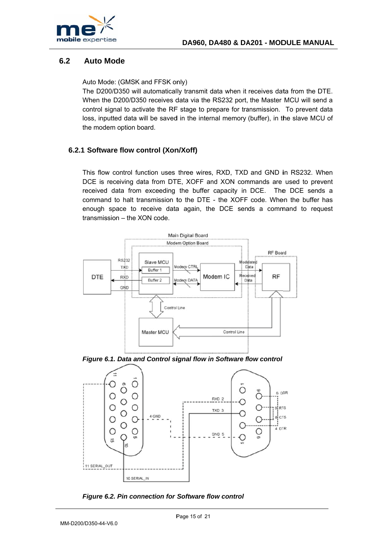

#### $6.2$ **Auto Mode**

Auto Mode: (GMSK and FFSK only)

The D200/D350 will automatically transmit data when it receives data from the DTE. When the D200/D350 receives data via the RS232 port, the Master MCU will send a control signal to activate the RF stage to prepare for transmission. To prevent data loss, inputted data will be saved in the internal memory (buffer), in the slave MCU of the modem option board.

# 6.2.1 Software flow control (Xon/Xoff)

This flow control function uses three wires, RXD, TXD and GND in RS232. When DCE is receiving data from DTE, XOFF and XON commands are used to prevent received data from exceeding the buffer capacity in DCE. The DCE sends a command to halt transmission to the DTE - the XOFF code. When the buffer has enough space to receive data again, the DCE sends a command to request transmission - the XON code.



Figure 6.1. Data and Control signal flow in Software flow control



Figure 6.2. Pin connection for Software flow control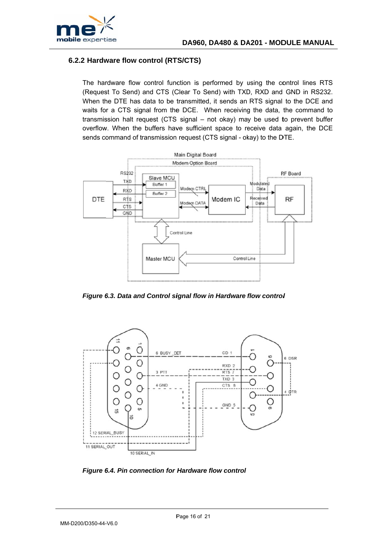

# 6.2.2 Hardware flow control (RTS/CTS)

The hardware flow control function is performed by using the control lines RTS (Request To Send) and CTS (Clear To Send) with TXD, RXD and GND in RS232. When the DTE has data to be transmitted, it sends an RTS signal to the DCE and waits for a CTS signal from the DCE. When receiving the data, the command to transmission halt request (CTS signal – not okay) may be used to prevent buffer overflow. When the buffers have sufficient space to receive data again, the DCE sends command of transmission request (CTS signal - okay) to the DTE.



Figure 6.3. Data and Control signal flow in Hardware flow control



Figure 6.4. Pin connection for Hardware flow control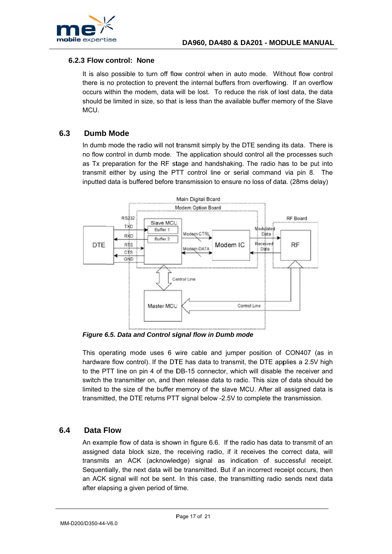

# **6 .2.3 Flow c control: N one**

It is also possible to turn off flow control when in auto mode. Without flow control there is no protection to prevent the internal buffers from overflowing. If an overflow occurs within the modem, data will be lost. To reduce the risk of lost data, the data should be limited in size, so that is less than the available buffer memory of the Slave MCU.

#### **6.3 Dumb Mode**

In dumb mode the radio will not transmit simply by the DTE sending its data. There is no flow control in dumb mode. The application should control all the processes such as Tx preparation for the RF stage and handshaking. The radio has to be put into transmit either by using the PTT control line or serial command via pin 8. The inputted data is buffered before transmission to ensure no loss of data. (28ms delay)



**Figure 6.5. Data and Control signal flow in Dumb mode** 

This operating mode uses 6 wire cable and jumper position of CON407 (as in hardware flow control). If the DTE has data to transmit, the DTE applies a 2.5V high to the PTT line on pin 4 of the DB-15 connector, which will disable the receiver and switch the transmitter on, and then release data to radio. This size of data should be limited to the size of the buffer memory of the slave MCU. After all assigned data is transmitted, the DTE returns PTT signal below -2.5V to complete the transmission.

#### **6.4 Data F Flow**

An example flow of data is shown in figure 6.6. If the radio has data to transmit of an assigned data block size, the receiving radio, if it receives the correct data, will transmits an ACK (acknowledge) signal as indication of successful receipt. Sequentially, the next data will be transmitted. But if an incorrect receipt occurs, then an ACK signal will not be sent. In this case, the transmitting radio sends next data after ela psing a give n period of ti ime.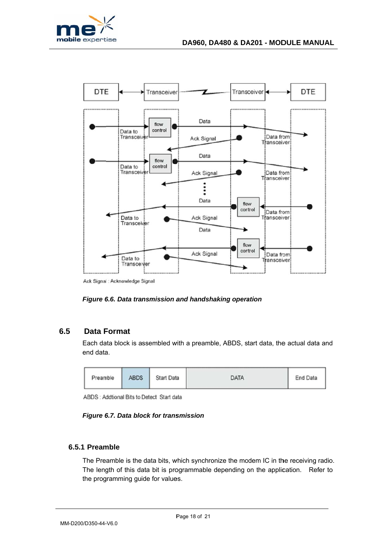

Ack Signal : Acknowledge Signal

### Figure 6.6. Data transmission and handshaking operation

#### 6.5 **Data Format**

Each data block is assembled with a preamble, ABDS, start data, the actual data and end data.

| Preamble | <b>ABDS</b> | Start Data | <b>DATA</b> | End Data |
|----------|-------------|------------|-------------|----------|
|----------|-------------|------------|-------------|----------|

ABDS : Addtional Bits to Detect Start data

Figure 6.7. Data block for transmission

# 6.5.1 Preamble

The Preamble is the data bits, which synchronize the modem IC in the receiving radio. The length of this data bit is programmable depending on the application. Refer to the programming guide for values.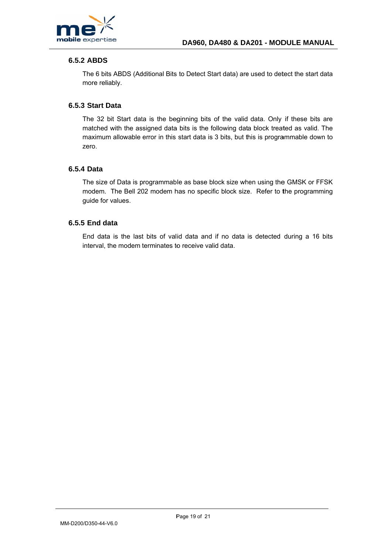

# **6.5.2 ABDS**

The 6 bits ABDS (Additional Bits to Detect Start data) are used to detect the start data more reliably.

## 6.5.3 Start Data

The 32 bit Start data is the beginning bits of the valid data. Only if these bits are matched with the assigned data bits is the following data block treated as valid. The maximum allowable error in this start data is 3 bits, but this is programmable down to zero.

## 6.5.4 Data

The size of Data is programmable as base block size when using the GMSK or FFSK modem. The Bell 202 modem has no specific block size. Refer to the programming guide for values.

### 6.5.5 End data

End data is the last bits of valid data and if no data is detected during a 16 bits interval, the modem terminates to receive valid data.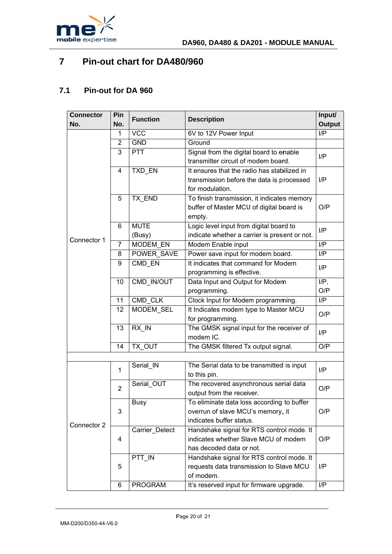

### $\overline{7}$ Pin-out chart for DA480/960

#### $7.1$ Pin-out for DA 960

| <b>Connector</b> | Pin            | <b>Function</b>    | <b>Description</b>                            | Input/                   |  |
|------------------|----------------|--------------------|-----------------------------------------------|--------------------------|--|
| No.              | No.            |                    |                                               | Output                   |  |
|                  | 1              | <b>VCC</b>         | 6V to 12V Power Input                         | $\overline{\mathsf{IP}}$ |  |
|                  | 2              | <b>GND</b>         | Ground                                        |                          |  |
|                  | 3              | <b>PTT</b>         | Signal from the digital board to enable       | I/P                      |  |
|                  |                |                    | transmitter circuit of modem board.           |                          |  |
|                  | 4              | TXD_EN             | It ensures that the radio has stabilized in   |                          |  |
|                  |                |                    | transmission before the data is processed     | I/P                      |  |
|                  |                |                    | for modulation.                               |                          |  |
|                  | 5              | <b>TX END</b>      | To finish transmission, it indicates memory   | O/P                      |  |
|                  |                |                    | buffer of Master MCU of digital board is      |                          |  |
|                  |                |                    | empty.                                        |                          |  |
|                  | 6              | <b>MUTE</b>        | Logic level input from digital board to       | I/P                      |  |
|                  |                | (Busy)             | indicate whether a carrier is present or not. |                          |  |
| Connector 1      | $\overline{7}$ | <b>MODEM EN</b>    | Modem Enable input                            | I/P                      |  |
|                  | 8              | POWER SAVE         | Power save input for modem board.             | I/P                      |  |
|                  | 9              | CMD EN             | It indicates that command for Modem           | I/P                      |  |
|                  |                |                    | programming is effective.                     |                          |  |
|                  | 10             | CMD IN/OUT         | Data Input and Output for Modem               | $I/P$ ,                  |  |
|                  |                |                    | programming.                                  | O/P                      |  |
|                  | 11             | CMD CLK            | Clock Input for Modem programming.            | I/P                      |  |
|                  | 12             | MODEM_SEL          | It Indicates modem type to Master MCU         | O/P<br>I/P               |  |
|                  |                |                    | for programming.                              |                          |  |
|                  | 13             | $RX$ <sub>IN</sub> | The GMSK signal input for the receiver of     |                          |  |
|                  |                |                    | modem IC.                                     |                          |  |
|                  | 14             | TX OUT             | The GMSK filtered Tx output signal.           | O/P                      |  |
|                  |                |                    |                                               |                          |  |
|                  | 1              | Serial IN          | The Serial data to be transmitted is input    | I/P                      |  |
|                  |                |                    | to this pin.                                  |                          |  |
|                  | $\overline{2}$ | Serial_OUT         | The recovered asynchronous serial data        | O/P                      |  |
|                  |                |                    | output from the receiver.                     |                          |  |
|                  | 3<br>4         | <b>Busy</b>        | To eliminate data loss according to buffer    |                          |  |
|                  |                |                    | overrun of slave MCU's memory, it             | O/P                      |  |
| Connector 2      |                |                    | indicates buffer status.                      |                          |  |
|                  |                | Carrier_Detect     | Handshake signal for RTS control mode. It     | O/P                      |  |
|                  |                |                    | indicates whether Slave MCU of modem          |                          |  |
|                  |                |                    | has decoded data or not.                      |                          |  |
|                  |                | PTT IN             | Handshake signal for RTS control mode. It     |                          |  |
|                  | 5              |                    | requests data transmission to Slave MCU       | I/P                      |  |
|                  |                |                    | of modem.                                     |                          |  |
|                  | 6              | <b>PROGRAM</b>     | It's reserved input for firmware upgrade.     | I/P                      |  |